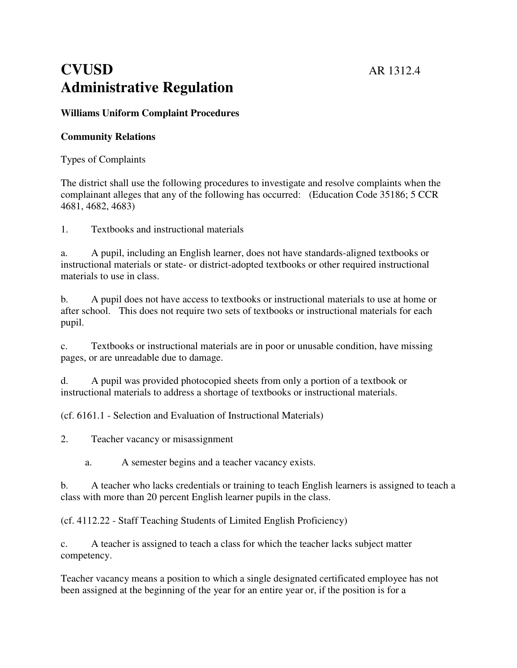# **CVUSD** AR 1312.4 **Administrative Regulation**

## **Williams Uniform Complaint Procedures**

## **Community Relations**

Types of Complaints

The district shall use the following procedures to investigate and resolve complaints when the complainant alleges that any of the following has occurred: (Education Code 35186; 5 CCR 4681, 4682, 4683)

1. Textbooks and instructional materials

a. A pupil, including an English learner, does not have standards-aligned textbooks or instructional materials or state- or district-adopted textbooks or other required instructional materials to use in class.

b. A pupil does not have access to textbooks or instructional materials to use at home or after school. This does not require two sets of textbooks or instructional materials for each pupil.

c. Textbooks or instructional materials are in poor or unusable condition, have missing pages, or are unreadable due to damage.

d. A pupil was provided photocopied sheets from only a portion of a textbook or instructional materials to address a shortage of textbooks or instructional materials.

(cf. 6161.1 - Selection and Evaluation of Instructional Materials)

2. Teacher vacancy or misassignment

a. A semester begins and a teacher vacancy exists.

b. A teacher who lacks credentials or training to teach English learners is assigned to teach a class with more than 20 percent English learner pupils in the class.

(cf. 4112.22 - Staff Teaching Students of Limited English Proficiency)

c. A teacher is assigned to teach a class for which the teacher lacks subject matter competency.

Teacher vacancy means a position to which a single designated certificated employee has not been assigned at the beginning of the year for an entire year or, if the position is for a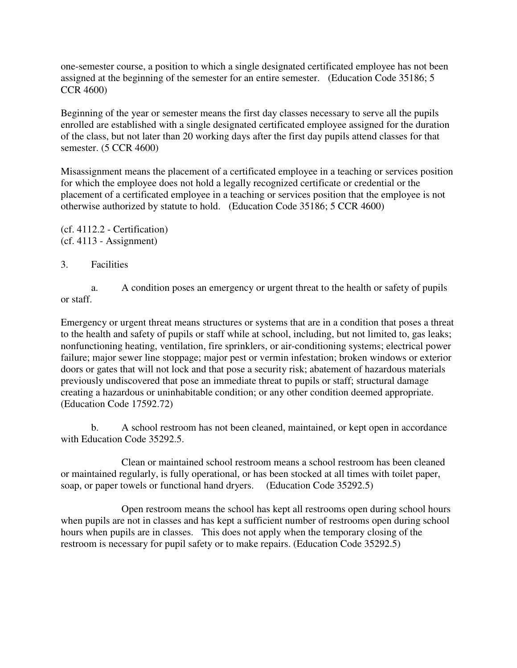one-semester course, a position to which a single designated certificated employee has not been assigned at the beginning of the semester for an entire semester. (Education Code 35186; 5 CCR 4600)

Beginning of the year or semester means the first day classes necessary to serve all the pupils enrolled are established with a single designated certificated employee assigned for the duration of the class, but not later than 20 working days after the first day pupils attend classes for that semester. (5 CCR 4600)

Misassignment means the placement of a certificated employee in a teaching or services position for which the employee does not hold a legally recognized certificate or credential or the placement of a certificated employee in a teaching or services position that the employee is not otherwise authorized by statute to hold. (Education Code 35186; 5 CCR 4600)

(cf. 4112.2 - Certification) (cf. 4113 - Assignment)

## 3. Facilities

 a. A condition poses an emergency or urgent threat to the health or safety of pupils or staff.

Emergency or urgent threat means structures or systems that are in a condition that poses a threat to the health and safety of pupils or staff while at school, including, but not limited to, gas leaks; nonfunctioning heating, ventilation, fire sprinklers, or air-conditioning systems; electrical power failure; major sewer line stoppage; major pest or vermin infestation; broken windows or exterior doors or gates that will not lock and that pose a security risk; abatement of hazardous materials previously undiscovered that pose an immediate threat to pupils or staff; structural damage creating a hazardous or uninhabitable condition; or any other condition deemed appropriate. (Education Code 17592.72)

 b. A school restroom has not been cleaned, maintained, or kept open in accordance with Education Code 35292.5.

 Clean or maintained school restroom means a school restroom has been cleaned or maintained regularly, is fully operational, or has been stocked at all times with toilet paper, soap, or paper towels or functional hand dryers. (Education Code 35292.5)

 Open restroom means the school has kept all restrooms open during school hours when pupils are not in classes and has kept a sufficient number of restrooms open during school hours when pupils are in classes. This does not apply when the temporary closing of the restroom is necessary for pupil safety or to make repairs. (Education Code 35292.5)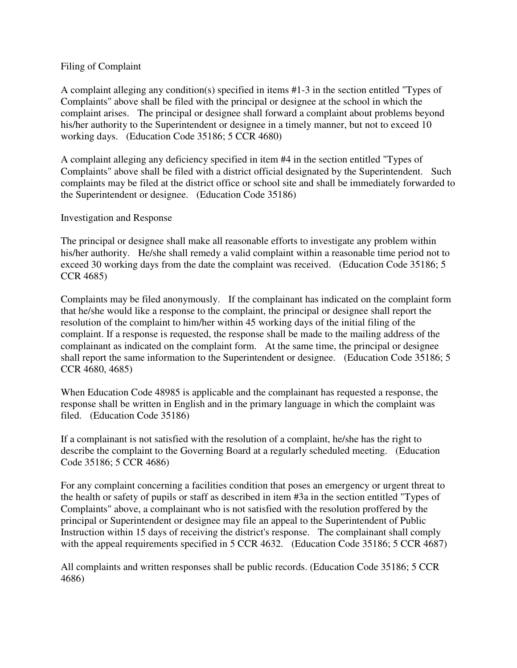## Filing of Complaint

A complaint alleging any condition(s) specified in items #1-3 in the section entitled "Types of Complaints" above shall be filed with the principal or designee at the school in which the complaint arises. The principal or designee shall forward a complaint about problems beyond his/her authority to the Superintendent or designee in a timely manner, but not to exceed 10 working days. (Education Code 35186; 5 CCR 4680)

A complaint alleging any deficiency specified in item #4 in the section entitled "Types of Complaints" above shall be filed with a district official designated by the Superintendent. Such complaints may be filed at the district office or school site and shall be immediately forwarded to the Superintendent or designee. (Education Code 35186)

## Investigation and Response

The principal or designee shall make all reasonable efforts to investigate any problem within his/her authority. He/she shall remedy a valid complaint within a reasonable time period not to exceed 30 working days from the date the complaint was received. (Education Code 35186; 5 CCR 4685)

Complaints may be filed anonymously. If the complainant has indicated on the complaint form that he/she would like a response to the complaint, the principal or designee shall report the resolution of the complaint to him/her within 45 working days of the initial filing of the complaint. If a response is requested, the response shall be made to the mailing address of the complainant as indicated on the complaint form. At the same time, the principal or designee shall report the same information to the Superintendent or designee. (Education Code 35186; 5 CCR 4680, 4685)

When Education Code 48985 is applicable and the complainant has requested a response, the response shall be written in English and in the primary language in which the complaint was filed. (Education Code 35186)

If a complainant is not satisfied with the resolution of a complaint, he/she has the right to describe the complaint to the Governing Board at a regularly scheduled meeting. (Education Code 35186; 5 CCR 4686)

For any complaint concerning a facilities condition that poses an emergency or urgent threat to the health or safety of pupils or staff as described in item #3a in the section entitled "Types of Complaints" above, a complainant who is not satisfied with the resolution proffered by the principal or Superintendent or designee may file an appeal to the Superintendent of Public Instruction within 15 days of receiving the district's response. The complainant shall comply with the appeal requirements specified in 5 CCR 4632. (Education Code 35186; 5 CCR 4687)

All complaints and written responses shall be public records. (Education Code 35186; 5 CCR 4686)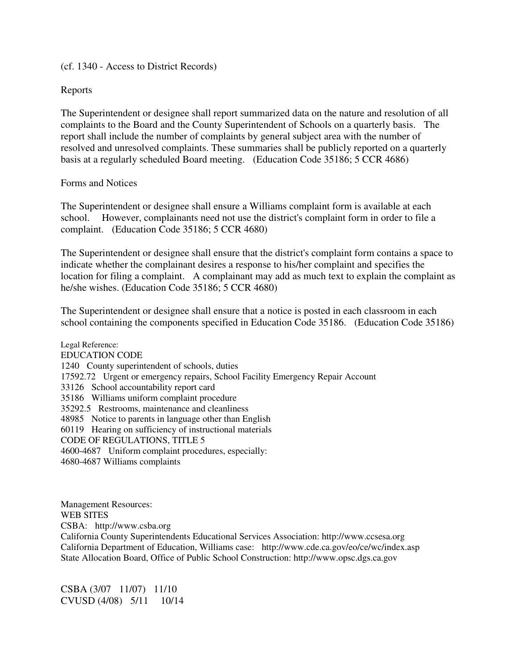### (cf. 1340 - Access to District Records)

## Reports

The Superintendent or designee shall report summarized data on the nature and resolution of all complaints to the Board and the County Superintendent of Schools on a quarterly basis. The report shall include the number of complaints by general subject area with the number of resolved and unresolved complaints. These summaries shall be publicly reported on a quarterly basis at a regularly scheduled Board meeting. (Education Code 35186; 5 CCR 4686)

## Forms and Notices

The Superintendent or designee shall ensure a Williams complaint form is available at each school. However, complainants need not use the district's complaint form in order to file a complaint. (Education Code 35186; 5 CCR 4680)

The Superintendent or designee shall ensure that the district's complaint form contains a space to indicate whether the complainant desires a response to his/her complaint and specifies the location for filing a complaint. A complainant may add as much text to explain the complaint as he/she wishes. (Education Code 35186; 5 CCR 4680)

The Superintendent or designee shall ensure that a notice is posted in each classroom in each school containing the components specified in Education Code 35186. (Education Code 35186)

Legal Reference: EDUCATION CODE 1240 County superintendent of schools, duties 17592.72 Urgent or emergency repairs, School Facility Emergency Repair Account 33126 School accountability report card 35186 Williams uniform complaint procedure 35292.5 Restrooms, maintenance and cleanliness 48985 Notice to parents in language other than English 60119 Hearing on sufficiency of instructional materials CODE OF REGULATIONS, TITLE 5 4600-4687 Uniform complaint procedures, especially: 4680-4687 Williams complaints

Management Resources: WEB SITES CSBA: http://www.csba.org California County Superintendents Educational Services Association: http://www.ccsesa.org California Department of Education, Williams case: http://www.cde.ca.gov/eo/ce/wc/index.asp State Allocation Board, Office of Public School Construction: http://www.opsc.dgs.ca.gov

CSBA (3/07 11/07) 11/10 CVUSD (4/08) 5/11 10/14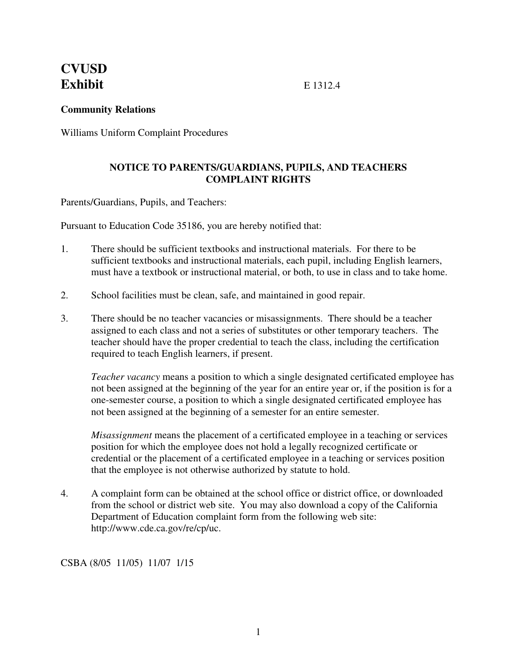## **CVUSD Exhibit E** 1312.4

## **Community Relations**

Williams Uniform Complaint Procedures

## **NOTICE TO PARENTS/GUARDIANS, PUPILS, AND TEACHERS COMPLAINT RIGHTS**

Parents/Guardians, Pupils, and Teachers:

Pursuant to Education Code 35186, you are hereby notified that:

- 1. There should be sufficient textbooks and instructional materials. For there to be sufficient textbooks and instructional materials, each pupil, including English learners, must have a textbook or instructional material, or both, to use in class and to take home.
- 2. School facilities must be clean, safe, and maintained in good repair.
- 3. There should be no teacher vacancies or misassignments. There should be a teacher assigned to each class and not a series of substitutes or other temporary teachers. The teacher should have the proper credential to teach the class, including the certification required to teach English learners, if present.

*Teacher vacancy* means a position to which a single designated certificated employee has not been assigned at the beginning of the year for an entire year or, if the position is for a one-semester course, a position to which a single designated certificated employee has not been assigned at the beginning of a semester for an entire semester.

*Misassignment* means the placement of a certificated employee in a teaching or services position for which the employee does not hold a legally recognized certificate or credential or the placement of a certificated employee in a teaching or services position that the employee is not otherwise authorized by statute to hold.

4. A complaint form can be obtained at the school office or district office, or downloaded from the school or district web site. You may also download a copy of the California Department of Education complaint form from the following web site: http://www.cde.ca.gov/re/cp/uc.

CSBA (8/05 11/05) 11/07 1/15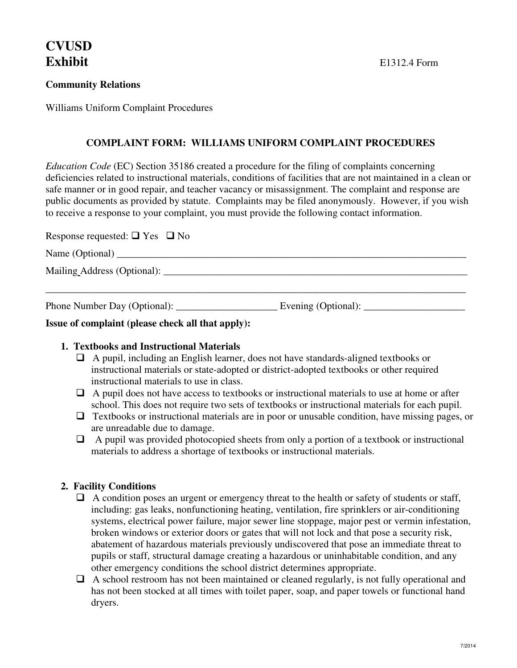# **CVUSD**

## **Community Relations**

Williams Uniform Complaint Procedures

## **COMPLAINT FORM: WILLIAMS UNIFORM COMPLAINT PROCEDURES**

*Education Code* (EC) Section 35186 created a procedure for the filing of complaints concerning deficiencies related to instructional materials, conditions of facilities that are not maintained in a clean or safe manner or in good repair, and teacher vacancy or misassignment. The complaint and response are public documents as provided by statute. Complaints may be filed anonymously. However, if you wish to receive a response to your complaint, you must provide the following contact information.

| Response requested: $\Box$ Yes $\Box$ No |  |
|------------------------------------------|--|
|                                          |  |
|                                          |  |
|                                          |  |

## **Issue of complaint (please check all that apply):**

## **1. Textbooks and Instructional Materials**

- $\Box$  A pupil, including an English learner, does not have standards-aligned textbooks or instructional materials or state-adopted or district-adopted textbooks or other required instructional materials to use in class.
- $\Box$  A pupil does not have access to textbooks or instructional materials to use at home or after school. This does not require two sets of textbooks or instructional materials for each pupil.
- $\Box$  Textbooks or instructional materials are in poor or unusable condition, have missing pages, or are unreadable due to damage.
- $\Box$  A pupil was provided photocopied sheets from only a portion of a textbook or instructional materials to address a shortage of textbooks or instructional materials.

## **2. Facility Conditions**

- $\Box$  A condition poses an urgent or emergency threat to the health or safety of students or staff, including: gas leaks, nonfunctioning heating, ventilation, fire sprinklers or air-conditioning systems, electrical power failure, major sewer line stoppage, major pest or vermin infestation, broken windows or exterior doors or gates that will not lock and that pose a security risk, abatement of hazardous materials previously undiscovered that pose an immediate threat to pupils or staff, structural damage creating a hazardous or uninhabitable condition, and any other emergency conditions the school district determines appropriate.
- $\Box$  A school restroom has not been maintained or cleaned regularly, is not fully operational and has not been stocked at all times with toilet paper, soap, and paper towels or functional hand dryers.